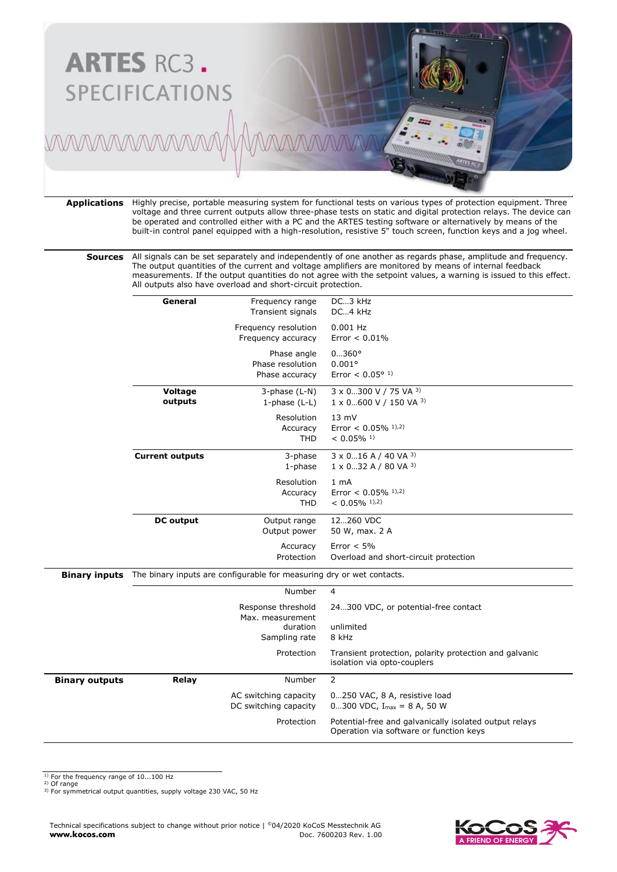

**Applications** Highly precise, portable measuring system for functional tests on various types of protection equipment. Three voltage and three current outputs allow three-phase tests on static and digital protection relays. The device can be operated and controlled either with a PC and the ARTES testing software or alternatively by means of the built-in control panel equipped with a high-resolution, resistive 5" touch screen, function keys and a jog wheel.

**Sources** All signals can be set separately and independently of one another as regards phase, amplitude and frequency. The output quantities of the current and voltage amplifiers are monitored by means of internal feedback measurements. If the output quantities do not agree with the setpoint values, a warning is issued to this effect. All outputs also have overload and short-circuit protection.

|                       | General                                                                                 | Frequency range<br>Transient signals              | DC3 kHz<br>DC4 kHz                                                                                |
|-----------------------|-----------------------------------------------------------------------------------------|---------------------------------------------------|---------------------------------------------------------------------------------------------------|
|                       |                                                                                         | Frequency resolution<br>Frequency accuracy        | $0.001$ Hz<br>Error $< 0.01\%$                                                                    |
|                       |                                                                                         | Phase angle<br>Phase resolution<br>Phase accuracy | $0360^{\circ}$<br>0.001°<br>Error < $0.05^{\circ}$ <sup>1)</sup>                                  |
|                       | Voltage<br>outputs                                                                      | 3-phase (L-N)<br>1-phase $(L-L)$                  | 3 x 0300 V / 75 VA 3)<br>1 x 0600 V / 150 VA 3)                                                   |
|                       |                                                                                         | Resolution<br>Accuracy<br><b>THD</b>              | $13 \text{ mV}$<br>Error < $0.05\%$ <sup>1),2)</sup><br>$< 0.05\%$ <sup>1)</sup>                  |
|                       | <b>Current outputs</b><br>3-phase<br>$1$ -phase<br>Resolution<br>Accuracy<br><b>THD</b> |                                                   | $3 \times 0$ 16 A / 40 VA 3)<br>$1 \times 0$ 32 A / 80 VA 3)                                      |
|                       |                                                                                         |                                                   | 1 <sub>mA</sub><br>Error < $0.05\%$ <sup>1),2)</sup><br>$< 0.05\%$ <sup>1),2)</sup>               |
|                       | <b>DC</b> output<br>Output range<br>Output power                                        |                                                   | 12260 VDC<br>50 W, max. 2 A                                                                       |
|                       |                                                                                         | Accuracy<br>Protection                            | Error $< 5\%$<br>Overload and short-circuit protection                                            |
| <b>Binary inputs</b>  | The binary inputs are configurable for measuring dry or wet contacts.                   |                                                   |                                                                                                   |
|                       | Number                                                                                  |                                                   | 4                                                                                                 |
|                       |                                                                                         | Response threshold<br>Max. measurement            | 24300 VDC, or potential-free contact                                                              |
|                       |                                                                                         | duration<br>Sampling rate                         | unlimited<br>8 kHz                                                                                |
|                       |                                                                                         | Protection                                        | Transient protection, polarity protection and galvanic<br>isolation via opto-couplers             |
| <b>Binary outputs</b> | Relay                                                                                   | Number                                            | $\overline{2}$                                                                                    |
|                       |                                                                                         | AC switching capacity<br>DC switching capacity    | 0250 VAC, 8 A, resistive load<br>0300 VDC, $I_{max} = 8$ A, 50 W                                  |
|                       |                                                                                         | Protection                                        | Potential-free and galvanically isolated output relays<br>Operation via software or function keys |

<sup>1)</sup> For the frequency range of 10...100 Hz

2) Of range 3) For symmetrical output quantities, supply voltage 230 VAC, 50 Hz

Technical specifications subject to change without prior notice | ©04/2020 KoCoS Messtechnik AG<br>Doc. 7600203 Rev. 1.00 **www.kocos.com** Doc. 7600203 Rev. 1.00